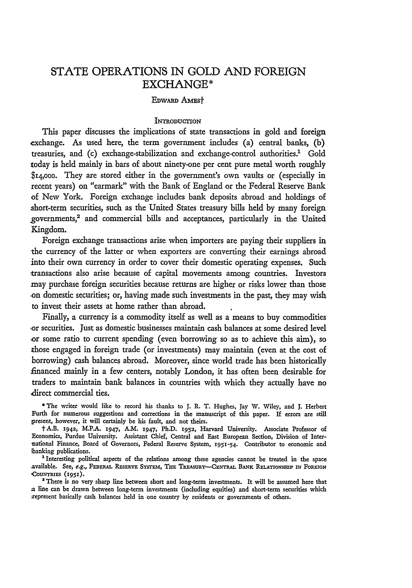# **STATE** OPERATIONS IN **GOLD AND** FOREIGN **EXCHANGE\***

#### **EDWARD AMEst**

# **INTRODUCTION**

This paper discusses the implications of state transactions in gold and foreign exchange. As used here, the term government includes (a) central banks, (b) treasuries, and (c) exchange-stabilization and exchange-control authorities.1 Gold today is held mainly in bars of about ninety-one per cent pure metal worth roughly \$14,000. They are stored either in the government's own vaults or (especially in recent years) on "earmark" with the Bank of England or the Federal Reserve Bank of New York. Foreign exchange includes bank deposits abroad and holdings of short-term securities, such as the United States treasury bills held by many foreign governments,2 and commercial bills and acceptances, particularly in the United Kingdom.

Foreign exchange transactions arise when importers are paying their suppliers in the currency of the latter or when exporters are converting their earnings abroad into their own currency in order to cover their domestic operating expenses. Such transactions also arise because of capital movements among countries. Investors may purchase foreign securities because returns are higher or risks lower than those on domestic securities; or, having made such investments in the past, they may wish to invest their assets at home rather than abroad.

Finally, a currency is a commodity itself as well as a means to buy commodities or securities. Just as domestic businesses maintain cash balances at some desired level or some ratio to current spending (even borrowing so as to achieve this aim), so those engaged in foreign trade (or investments) may maintain (even at the cost of borrowing) cash balances abroad. Moreover, since world trade has been historically financed mainly in a few centers, notably London, it has often been desirable for traders to maintain bank balances in countries with which they actually have no direct commercial ties.

\*The writer would like to record his thanks to **J.** R. T. Hughes, Jay W. Wiley, and **J.** Herbert Furth for numerous suggestions and corrections in the manuscript of this paper. **If** errors are still present, however, it will certainly be his fault, and not theirs.

tA.B. 1942, M.P.A. 1947, **AM.** 1947, Ph.D. 1952, Harvard University. Associate Professor of Economics, Purdue University. Assistant Chief, Central and East European Section, Division of International Finance, Board of Governors, Federal Reserve System, 1951-54. Contributor to economic and banking publications.

a Interesting political aspects of the relations among these agencies cannot be treated in the space .available. See, e.g., FEDERAL RESERVE SYSTEM, THE TREASURY-CENTRAL BANK RELATIONSHIP IN FOREIGN COUNTRIES (1951).

**'** There is no very sharp line between short and long-term investments. It will be assumed here that a line can be drawn between long-term investments (including equities) and short-term securities which represent basically cash balances held in one country by residents or governments of others.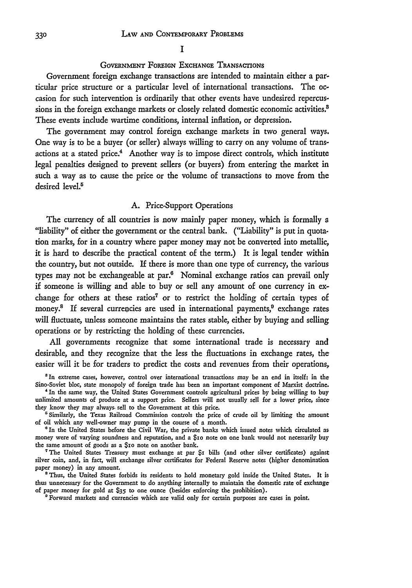**I**

#### **GOVERNMENT FOREIGN EXCHANGE TRANSACTIONS**

Government foreign exchange transactions are intended to maintain either a particular price structure or a particular level of international transactions. The occasion for such intervention is ordinarily that other events have undesired repercussions in the foreign exchange markets or closely related domestic economic activities.<sup>3</sup> These events include wartime conditions, internal inflation, or depression.

The government may control foreign exchange markets in two general ways. One way is to be a buyer (or seller) always willing to carry on any volume of transactions at a stated price.<sup>4</sup> Another way is to impose direct controls, which institute legal penalties designed to prevent sellers (or buyers) from entering the market in such a way as to cause the price or the volume of transactions to move from the desired level.<sup>5</sup>

### A. Price-Support Operations

The currency of all countries is now mainly paper money, which is formally a "liability" of either the government or the central bank. ("Liability" is put in quotation marks, for in a country where paper money may not be converted into metallic, it is hard to describe the practical content of the term.) It is legal tender within the country, but not outside. If there is more than one type of currency, the various types may not be exchangeable at par.<sup>6</sup> Nominal exchange ratios can prevail only if someone is willing and able to buy or sell any amount of one currency in exchange for others at these ratios<sup>7</sup> or to restrict the holding of certain types of money.<sup>8</sup> If several currencies are used in international payments,<sup>9</sup> exchange rates will fluctuate, unless someone maintains the rates stable, either by buying and selling operations or by restricting the holding of these currencies.

All governments recognize that some international trade is necessary and desirable, and they recognize that the less the fluctuations in exchange rates, the easier will it be for traders to predict the costs and revenues from their operations,

*sIn* extreme cases, however, control over international transactions may **be** an end in itself: in the Sino-Soviet bloc, state monopoly of foreign trade has been an important component of Marxist doctrine.

<sup>&#</sup>x27;In the same way, the United States Government controls agricultural prices by being willing to buy unlimited amounts of produce at a support price. Sellers will not usually sell for a lower price, since they know they may always, sell to the Government at this price.

<sup>&</sup>lt;sup>5</sup> Similarly, the Texas Railroad Commission controls the price of crude oil by limiting the amount of oil which any well-owner may pump in the course of a month.

<sup>&</sup>lt;sup>6</sup> In the United States before the Civil War, the private banks which issued notes which circulated as money were of varying soundness and reputation, and a **Sxo** note on one bank would not necessarily buy the same amount of goods as a Sio note on another bank.

**<sup>&#</sup>x27;7** The United States Treasury must exchange at par Sr bills (and other silver certificates) against silver coin, and, in fact, will exchange silver certificates for Federal Reserve notes (higher denomination paper money) in any amount.

<sup>&</sup>lt;sup>8</sup> Thus, the United States forbids its residents to hold monetary gold inside the United States. It is thus unnecessary for the Government to do anything internally to maintain the domestic rate of exchange of paper money for gold at **\$35** to one ounce (besides enforcing the prohibition). 'Forward markets and currencies which are valid only for certain purposes are cases in point.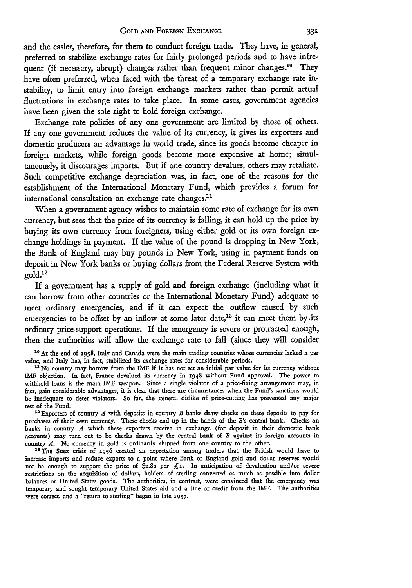and the easier, therefore, for them to conduct foreign trade. They have, in general, preferred to stabilize exchange rates for fairly prolonged periods and to have infrequent (if necessary, abrupt) changes rather than frequent minor changes.<sup>10</sup> They have often preferred, when faced with the threat of a temporary exchange rate instability, to limit entry into foreign exchange markets rather than permit actual fluctuations in exchange rates to take place. In some cases, government agencies have been given the sole right to hold foreign exchange.

Exchange rate policies of any one government are limited by those of others. If any one government reduces the value of its currency, it gives its exporters and domestic producers an advantage in world trade, since its goods become cheaper in foreign markets, while foreign goods become more expensive at home; simultaneously, it discourages imports. But if one country devalues, others may retaliate. Such competitive exchange depreciation was, in fact, one of the reasons for the establishment of the International Monetary Fund, which provides a forum for international consultation on exchange rate changes.<sup>11</sup>

When a government agency wishes to maintain some rate of exchange for its own currency, but sees that the price of its currency is falling, it can hold up the price by buying its own currency from foreigners, using either gold or its own foreign exchange holdings in payment. If the value of the pound is dropping in New York, the Bank of England may buy pounds in New York, using in payment funds on deposit in New York banks or buying dollars from the Federal Reserve System with gold.<sup>12</sup>

If a government has a supply of gold and foreign exchange (including what it can borrow from other countries or the International Monetary Fund) adequate to meet ordinary emergencies, and if it can expect the outflow caused by such emergencies to be offset by an inflow at some later date,<sup>13</sup> it can meet them by its ordinary price-support operations. If the emergency is severe or protracted enough, then the authorities will allow the exchange rate to fall (since they will consider

**"** At the end of **z958,** Italy and Canada were the main trading countries whose currencies lacked a par value, and Italy has, in fact, stabilized its exchange rates for considerable periods.

*"* **No** country may borrow from the IMF if it has not set an initial par value for its currency without IMVP objection. In fact, France devalued its currency in 1948 without Fund approval. The power to withhold loans is the main IMF weapon. Since a single violator of a price-fixing arrangement may, in fact, gain considerable advantages, it is clear that there are circumstances when the Fund's sanctions would be inadequate to deter violators. So far, the general dislike of price-cutting has prevented any major test of the Fund.

**"** Exporters of country *A* with deposits in country *B* banks draw checks on these deposits to pay for purchases of their own currency. These checks end up in the hands of the *B's* central bank. Checks on banks in country *A* which these exporters receive in exchange (for deposit in their domestic bank accounts) may turn out to be checks drawn by the central bank of *B* against its foreign accounts in country *A.* No currency in gold is ordinarily shipped from one country to the other.

<sup>18</sup> The Suez crisis of 1956 created an expectation among traders that the British would have to increase imports and reduce exports to a point where Bank of England gold and dollar reserves would not be enough to support the price of  $$2.80$  per  $$I.$  In anticipation of devaluation and/or severe restrictions on the acquisition of dollars, holders of sterling converted as much as possible into dollar balances or United States goods. The authorities, in contrast, were convinced that the emergency was temporary and sought temporary United States aid and a line of credit from the IMF. The authorities were correct, and a "return to sterling" began in late **1957.**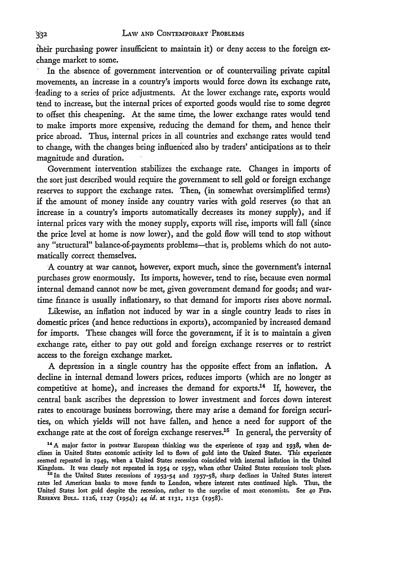their purchasing power insufficient to maintain **it)** or deny access to the foreign exchange market to some.

In the absence of government intervention or of countervailing private capital movements, an increase in a country's imports would force down its exchange rate, 'leading to a series of price adjustments. At the lower exchange rate, exports would tend to increase, but the internal prices of exported goods would rise to some degree to offset this cheapening. At the same time, the lower exchange rates would tend to make imports more expensive, reducing the demand for them, and hence their price abroad. Thus, internal prices in all countries and exchange rates would tend to change, with the changes being influenced also by traders' anticipations as to their magnitude and duration.

Government intervention stabilizes the exchange rate. Changes in imports of the sort just described would require the government to sell gold or foreign exchange reserves to support the exchange rates. Then, (in somewhat oversimplified terms) if the amount of money inside any country varies with gold reserves (so that an increase in a country's imports automatically decreases its money supply), and if internal prices vary with the money supply, exports will rise, imports will fall (since the price level at home is now lower), and the gold flow will tend to stop without any "structural" balance-of-payments problems---that is, problems which do not automatically correct themselves.

A country at war cannot, however, export much, since the government's internal purchases grow enormously. Its imports, however, tend to rise, because even normal internal demand cannot now be met, given government demand for goods; and wartime finance is usually inflationary, so that demand for imports rises above normal.

Likewise, an inflation not induced by war in a single country leads to rises in domestic prices (and hence reductions in exports), accompanied by increased demand for imports. These changes will force the government, if it is to maintain a given exchange rate, either to pay out gold and foreign exchange reserves or to restrict access to the foreign exchange market.

A depression in a single country has the opposite effect from an inflation. A decline in internal demand lowers prices, reduces imports (which are no longer as competitive at home), and increases the demand for exports.<sup>14</sup> If, however, the central bank ascribes the depression to lower investment and forces down interest rates to encourage business borrowing, there may arise a demand for foreign securities, on which yields will not have fallen, and hence a need for support of the exchange rate at the cost of foreign exchange reserves.<sup>15</sup> In general, the perversity of

**"A** major factor **in** postwar **European** thinking was the experience of **1929 and 1938, when de**clines in United States **economic** activity led to flows **of gold** into the United States. This experience seemed repeated in 1949, when a United States recession coincided with internal inflation in the United **Kingdom.** It **was** clearly **not** repeated in **1954 or 1957,** when **other** United States recessions **took place.**

<sup>15</sup> In the United States recessions of **1953-54** and **1957-58**, sharp declines in United States interest rates **led** American banks **to move funds to London, where** interest **rates** continued high. Thus, the United States **lost gold** despite the recession, rather to the surprise **of** most economists. See **40 FEn. Rasarva BuLL. 1126, 1127** (1954); 44 *id.* at **<sup>1131</sup> , 1132 (1958).**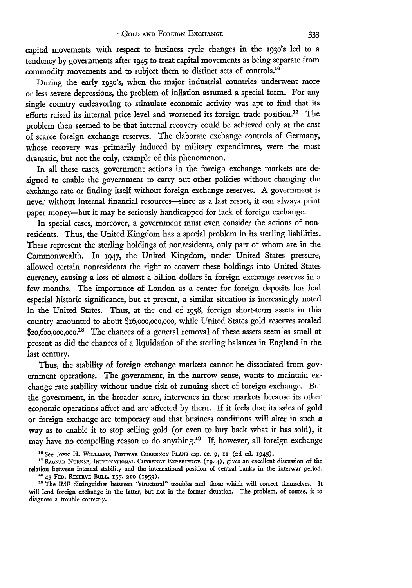capital movements with respect to business cycle changes in the **193o's** led to a tendency by governments after 1945 to treat capital movements as being separate from commodity movements and to subject them to distinct sets of controls.<sup>16</sup>

During the early i93o's, when the major industrial countries underwent more or less severe depressions, the problem of inflation assumed a special form. For any single country endeavoring to stimulate economic activity was apt to find that its efforts raised its internal price level and worsened its foreign trade position.<sup>17</sup> The problem then seemed to be that internal recovery could be achieved only at the cost of scarce foreign exchange reserves. The elaborate exchange controls of Germany, whose recovery was primarily induced by military expenditures, were the most dramatic, but not the only, example of this phenomenon.

In all these cases, government actions in the foreign exchange markets are designed to enable the government to carry out other policies without changing the exchange rate or finding itself without foreign exchange reserves. A government is never without internal financial resources-since as a last resort, it can always print paper money-but it may be seriously handicapped for lack of foreign exchange.

In special cases, moreover, a government must even consider the actions of nonresidents. Thus, the United Kingdom has a special problem in its sterling liabilities. These represent the sterling holdings of nonresidents, only part of whom are in the Commonwealth. In 1947, the United Kingdom, under United States pressure, allowed certain nonresidents the right to convert these holdings into United States currency, causing a loss of almost a billion dollars in foreign exchange reserves in a few months. The importance of London as a center for foreign deposits has had especial historic significance, but at present, a similar situation is increasingly noted in the United States. Thus, at the end of 1958, foreign short-term assets in this country amounted to about \$r6,ooooooooo, while United States gold reserves totaled  $$20,600,000,000$ <sup>18</sup> The chances of a general removal of these assets seem as small at present as did the chances of a liquidation of the sterling balances in England in the last century.

Thus, the stability of foreign exchange markets cannot be dissociated from government operations. The government, in the narrow sense, wants to maintain exchange rate stability without undue risk of running short of foreign exchange. But the government, in the broader sense, intervenes in these markets because its other economic operations affect and are affected by them. If it feels that its sales of gold or foreign exchange are temporary and that business conditions will alter in such a way as to enable it to stop selling gold (or even to buy back what it has sold), it may have no compelling reason to do anything.<sup>19</sup> If, however, all foreign exchange

**<sup>10</sup>**See *loHNi* H. WILLIAaoS, PosTwAR CURRENCY **PLANs** esp. CC. 9, **I1 (2d** ed. **1945).**

 $\frac{17}{100}$  Register 11. WHERMAS, TOSTWAN CONNENCT TEANS CSP. CC. 9, 11 (20 Cd. 1945). relation between internal stability and the international position of central banks in the interwar period. **<sup>1</sup>***45* FED. REsERVE BULL. 155, 210 (1959).

<sup>&</sup>lt;sup>10</sup> The IMF distinguishes between "structural" troubles and those which will correct themselves. It will lend foreign exchange in the latter, but not in the former situation. The problem, of course, is to diagnose a trouble correctly.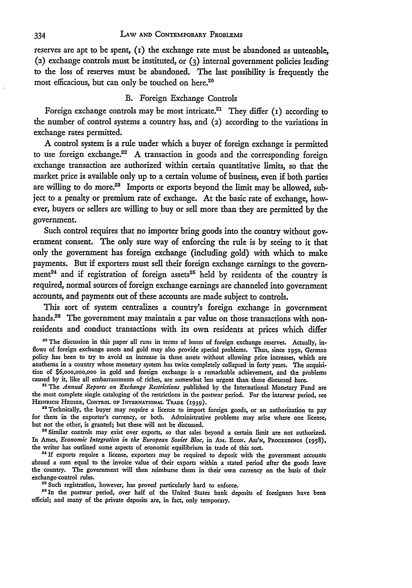reserves are apt to be spent, **(i)** the exchange rate must **be** abandoned as untenable, (2) exchange controls must be instituted, or **(3)** internal government policies leading to the loss of reserves must be abandoned. The last possibility is frequently the most efficacious, but can only be touched on here.<sup>20</sup>

## B. Foreign Exchange Controls

Foreign exchange controls may be most intricate.<sup>21</sup> They differ  $(1)$  according to the number of control systems a country has, and **(2)** according to the variations in exchange rates permitted.

A control system is a rule under which a buyer of foreign exchange is permitted to use foreign exchange.<sup>22</sup> A transaction in goods and the corresponding foreign exchange transaction are authorized within certain quantitative limits, so that the market price is available only up to a certain volume of business, even if both parties are willing to do more.<sup>23</sup> Imports or exports beyond the limit may be allowed, subject to a penalty or premium rate of exchange. At the basic rate of exchange, however, buyers or sellers are willing to buy or sell more than they are permitted by the government.

Such control requires that no importer bring goods into the country without government consent. The only sure way of enforcing the rule is by seeing to it that only the government has foreign exchange (including gold) with which to make payments. But if exporters must sell their foreign exchange earnings to the government<sup>24</sup> and if registration of foreign assets<sup>25</sup> held by residents of the country is required, normal sources of foreign exchange earnings are channeled into government accounts, and payments out of these accounts are made subject to controls.

This sort of system centralizes a country's foreign exchange in government hands.<sup>26</sup> The government may maintain a par value on those transactions with nonresidents and conduct transactions with its own residents at prices which differ

**20** The discussion in this paper all runs in terms of losses of foreign exchange reserves. Actually, inflows of foreign exchange assets and gold may also provide special problems. Thus, since **595o,** German policy has been to try to avoid an increase in these assets without allowing price increases, which **are** anathema in a country whose monetary system has twice completely collapsed in forty years. The acquisition of \$6,ooo,ooo,ooo in gold and foreign exchange is a remarkable achievement, and the problems caused **by** it, like all embarrassments of riches, **are** somewhat less urgent than those discussed here.

*2'The Annual Reports on Exchange Restrictions* published **by** the International Monetary Fund **are** the most complete single cataloging of the restrictions in the postwar period. For the interwar period, see HEINRICH HEUSER, CONTROL OF INTERNATIONAL TRADE (1939).<br><sup>22</sup> Technically, the buyer may require a license to import foreign goods, or an authorization to pay

for them in the exporter's currency, or both. Administrative problems may arise where one license, but not the other, is granted; but these will not **be** discussed.

" 8Similar controls may exist over exports, so that sales beyond a certain limit **are** not authorized. In Ames, *Economic Integration in the European Soviet Bloc*, in Am. Econ. Ass'n, PROCEEDINGS (1958), the writer has outlined some aspects of economic equilibrium in trade of this sort.

<sup>24</sup> If exports require a license, exporters may be required to deposit with the government accounts abroad a sum equal to the invoice value of their exports within a stated period after the goods leave the country. The government will then reimburse them in their own currency on the basis of their exchange-control rules.<br><sup>25</sup> Such registration, however, has proved particularly hard to enforce.

<sup>26</sup> In the postwar period, over half of the United States bank deposits of foreigners have been official; and many of the private deposits are, in fact, only temporary.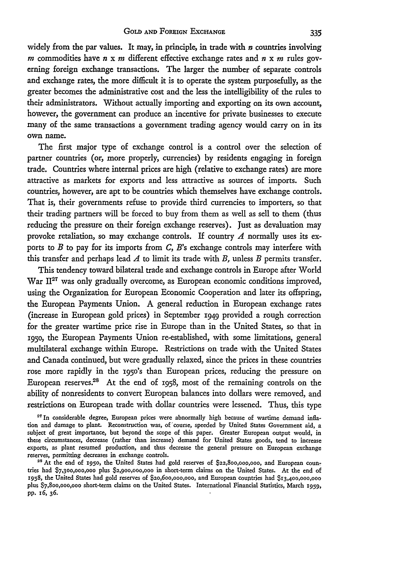widely from the par values. It may, in principle, in trade with  $n$  countries involving m commodities have n x *m* different effective exchange rates and *n x m* rules governing foreign exchange transactions. The larger the number of separate controls and exchange rates, the more difficult it is to operate the system purposefully, as the greater becomes the administrative cost and the less the intelligibility of the rules to their administrators. Without actually importing and exporting on its own account, however, the government can produce an incentive for private businesses to execute many of the same transactions a government trading agency would carry on in its own name.

The first major type of exchange control is a control over the selection of partner countries (or, more properly, currencies) **by** residents engaging in foreign trade. Countries where internal prices are high (relative to exchange rates) are more attractive as markets for exports and less attractive as sources of imports. Such countries, however, are apt to be countries which themselves have exchange controls. That is, their governments refuse to provide third currencies to importers, so that their trading partners will be forced to buy from them as well as sell to them (thus reducing the pressure on their foreign exchange reserves). Just as devaluation may provoke retaliation, so may exchange controls. If country *A* normally uses its exports to *B* to pay for its imports from *C, B's* exchange controls may interfere with this transfer and perhaps lead *A* to limit its trade with *B,* unless *B* permits transfer.

This tendency toward bilateral trade and exchange controls in Europe after World War **1127** was only gradually overcome, as European economic conditions improved, using the Organization for European Economic Cooperation and later its offspring, the European Payments Union. **A** general reduction in European exchange rates (increase in European gold prices) in September 1949 provided a rough correction for the greater wartime price rise in Europe than in the United States, so that in *i95o,* the European Payments Union re-established, with some limitations, general multilateral exchange within Europe. Restrictions on trade with the United States and Canada continued, but were gradually relaxed, since the prices in these countries rose more rapidly in the i95o's than European prices, reducing the pressure on European reserves.28 At the end of 1958, most of the remaining controls on the ability of nonresidents to convert European balances into dollars were removed, and restrictions on European trade with dollar countries were lessened. Thus, this type

**<sup>-7</sup>** In considerable degree, European prices were abnormally high because of wartime demand inflation and damage to plant. Reconstruction was, of'course, speeded by United States Government aid, a subject of great importance, but beyond the scope of this paper. Greater European output would, in these circumstances, decrease (rather than increase) demand for United States goods, tend to increase exports, as plant resumed production, and thus decrease the general pressure on European exchange reserves, permitting decreases in exchange controls.

<sup>&</sup>lt;sup>28</sup> At the end of **1950**, the United States had gold reserves of \$22,800,000,000, and European countries had **\$7,300,000,000** plus \$2,9oo,ooo,ooo in short-term claims on the United States. At the end of **x958,** the United States had gold reserves **of** \$2o,6oo,ooo,ooo, and European coulitrjes had \$13,400,ooo,ooo plus **\$7,800,000,000** short-term claims on the United States. International Financial Statistics, March **1959, pp.** *i6, 36.*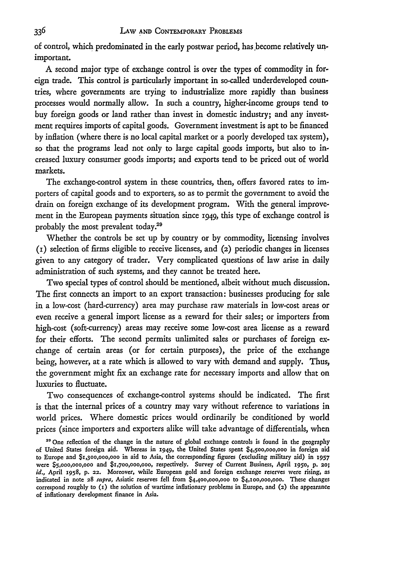of control, which predominated in the early postwar period, has.become relatively unimportant.

**A** second major type of exchange control is over the types of commodity in foreign trade. This control is particularly important in so-called underdeveloped countries, where governments are trying to industrialize more rapidly than business processes would normally allow. In such a country, higher-income groups tend to buy foreign goods or land rather than invest in domestic industry; and any investment requires imports of capital goods. Government investment is apt to be financed **by** inflation (where there is no local capital market or a poorly developed tax system), so that the programs lead not only to large capital goods imports, but also to increased luxury consumer goods imports; and exports tend to be priced out of world markets.

The exchange-control system in these countries, then, offers favored rates to importers of capital goods and to exporters, so as to permit the government to avoid the drain on foreign exchange of **its** development program. With the general improvement in the European payments situation since 1949, this type of exchange control is probably the most prevalent today.<sup>29</sup>

Whether the controls be set up by country or by commodity, licensing involves **(i)** selection of firms eligible to receive licenses, and **(2)** periodic changes in licenses given to any category of trader. Very complicated questions of law arise in daily administration of such systems, and they cannot **be** treated here.

Two special types of control should be mentioned, albeit without much discussion. The first connects an import to an export transaction: businesses producing for sale in a low-cost (hard-currency) area may purchase raw materials in low-cost areas or even receive a general import license as a reward for their sales; or importers from high-cost (soft-currency) areas may receive some low-cost area license as a reward for their efforts. The second permits unlimited sales or purchases of foreign exchange of certain areas (or for certain purposes), the price of the exchange being, however, at a rate which is allowed to vary with demand and supply. Thus, the government might fix an exchange rate for necessary imports and allow that on luxuries to fluctuate.

Two consequences of exchange-control systems should be indicated. The first is that the internal prices of a country may vary without reference to variations in world prices. Where domestic prices would ordinarily be conditioned by world prices (since importers and exporters alike will take advantage of differentials, when

<sup>29</sup>**One reflection of the change in** the **nature of global exchange controls** is **found in the geography of United States foreign aid. Whereas in 1949, the United States spent \$4,5oo,ooo,ooo in foreign aid to Europe and \$i,3oo,ooo,ooo in aid to Asia, the corresponding figures (excluding military aid) in 1957 were \$5,ooo,ooo,ooo and \$I,70o,ooo,ooo, respectively. Survey of Current Business, April 1950, p. 2o;** *id.,* **April 1958, p. 22. Moreover, while European** gold **and foreign exchange reserves were rising, as indicated in note 28** *supra,* **Asiatic reserves fell from \$4,400,000,000 to \$4oo,ooo,ooo. These changes correspond roughly to (i) the solution of wartime inflationary problems in Europe, and (2) the appearance of inflationary development finance in Asia.**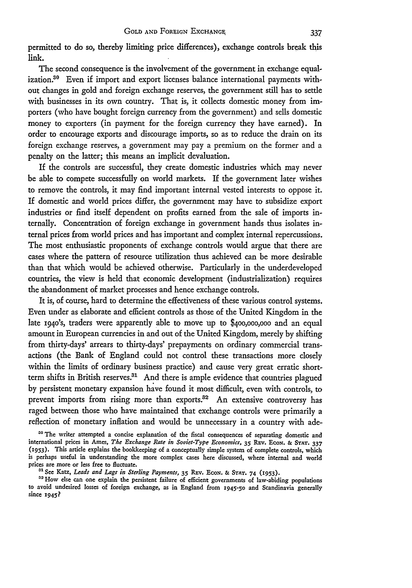permitted to do so, thereby limiting price differences), exchange controls break this link.

The second consequence is the involvement of the government in exchange equalization.<sup>30</sup> Even if import and export licenses balance international payments without changes in gold and foreign exchange reserves, the government still has to settle with businesses in its own country. That is, it collects domestic money from importers (who have bought foreign currency from the government) and sells domestic money to exporters (in payment for the foreign currency they have earned). In order to encourage exports and discourage imports, so as to reduce the drain on its foreign exchange reserves, a government may pay a premium on the former and a penalty on the latter; this means an implicit devaluation.

If the controls are successful, they create domestic industries which may never be able to compete successfully on world markets. If the government later wishes to remove the controls, it may find important internal vested interests to oppose it. If domestic and world prices differ, the government may have to subsidize export industries or find itself dependent on profits earned from the sale of imports internally. Concentration of foreign exchange in government hands thus isolates internal prices from world prices and has important and complex internal repercussions. The most enthusiastic proponents of exchange controls would argue that there are cases where the pattern of resource utilization thus achieved can be more desirable than that which would be achieved otherwise. Particularly in the underdeveloped countries, the view is held that economic development (industrialization) requires the abandonment of market processes and hence exchange controls.

It is, of course, hard to determine the effectiveness of these various control systems. Even under as elaborate and efficient controls as those of the United Kingdom in the late 1940's, traders were apparently able to move up to **\$400,000,000** and an equal amount in European currencies in and out of the United Kingdom, merely by shifting from thirty-days' arrears to thirty-days' prepayments on ordinary commercial transactions (the Bank of England could not control these transactions more closely within the limits of ordinary business practice) and cause very great erratic shortterm shifts in British reserves.<sup>31</sup> And there is ample evidence that countries plagued by persistent monetary expansion have found it most difficult, even with controls, to prevent imports from rising more than exports.<sup>32</sup> An extensive controversy has raged between those who have maintained that exchange controls were primarily a reflection of monetary inflation and would be unnecessary in a country with ade-

**<sup>&#</sup>x27;0** The writer attempted a concise explanation of the fiscal consequences of separating domestic and international prices in Ames, *The Exchange Rate in Soviet-Type Economics*, 35 REV. Econ. & STAT. 337 (1953). This article explains the bookkeeping of a conceptually simple system of complete controls, which is perhaps useful in understanding the more complex cases here discussed, where internal and world prices are more or less free to fluctuate.<br><sup>51</sup> See Katz, *Leads and Lags in Sterling Payments*, 35 REV. EcoN. & STAT. 74 (1953).

<sup>&</sup>lt;sup>32</sup> How else can one explain the persistent failure of efficient governments of law-abiding populations to avoid undesired losses of foreign exchange, as in England from 1945-5o and Scandinavia generally since 1945?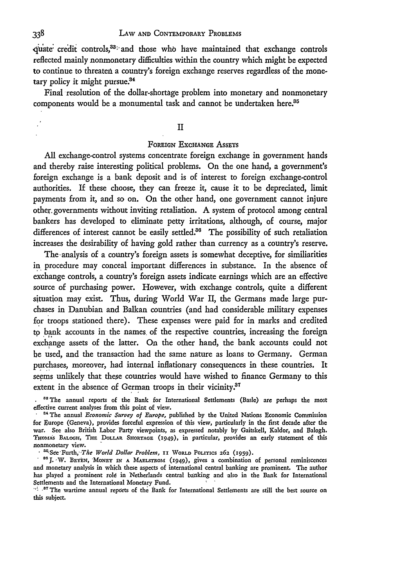quate credit controls,<sup>33</sup> and those who have maintained that exchange controls reflected mainly nonmonetary difficulties within the country which might be expected to continue to threaten a country's foreign exchange reserves regardless of the monetary policy it might pursue.<sup>34</sup>

Final resolution of the dollar-shortage problem into monetary and nonmonetary components would be a monumental task and cannot be undertaken here.<sup>35</sup>

#### II

#### FOREIGN **EXCHANGE** ASSETS

All exchange-control systems concentrate foreign exchange in government hands and thereby raise interesting political problems. On the one hand, a government's foreign exchange is a bank deposit and is of interest to foreign exchange-control authorities. If these choose, they can freeze it, cause it to be depreciated, limit payments from it, and so on. On the other hand, one government cannot injure other. governments without inviting retaliation. A system of protocol among central bankers has developed to eliminate petty irritations, although, of course, major differences of interest cannot be easily settled. $36$  The possibility of such retaliation increases the desirability of having gold rather than currency as a country's reserve.

The analysis of a country's foreign assets is somewhat deceptive, for similiarities in procedure may conceal important differences in substance. In the absence of exchange controls, a country's foreign assets indicate earnings which are an effective source of purchasing power. However, with exchange controls, quite a different situation may exist. Thus, during World War II, the Germans made large purchases in Danubian and Balkan countries (and had considerable military expenses for troops stationed there). These expenses were paid for in marks and credited to bank accounts in the names, of the respective countries, increasing the foreign exchange assets of the latter. On the other hand, the bank accounts could not be used, and the transaction had the same nature as loans to Germany. German purchases, moreover, had internal inflationary consequences in these countries. It seems unlikely that these countries would have wished to finance Germany to this extent in the absence of German troops in their vicinity.<sup>37</sup>

" 3The annual reports of the Bank for International Settlements (Basle) are perhaps the most effective current analyses from this point of view. **.** "The annual *Economic Survey of Europe,* published by the United Nations Economic Commission

for Europe (Geneva), provides forceful expression of this view, particularly in the first decade after the war. See also British Labor Party viewpoints, as expressed notably by Gaitskell, Kaldor, and Balogh. **THSomxs BALOGH, THE DOLLAR SHORTAGE** (1949), in particular, provides an early statement of this nonmonetary view.

<sup>24</sup> See Furth, *The World Dollar Problem*, **XI WORLD POLITICS 262 (1959)**.

<sup>86</sup> J. <sup>W.</sup> BEYEN, MONEY IN A MAELSTROM (1949), gives a combination of personal reminiscences and monetary analysis in which these aspects of international central banking are prominent. The author has played a prominent rold in Netherlands central banking and also in the Bank for International Settlements and the International Monetary Fund.

<sup>17</sup> .<sup>87</sup> The wartime annual reports of the Bank for International Settlements are still the best source on this subject.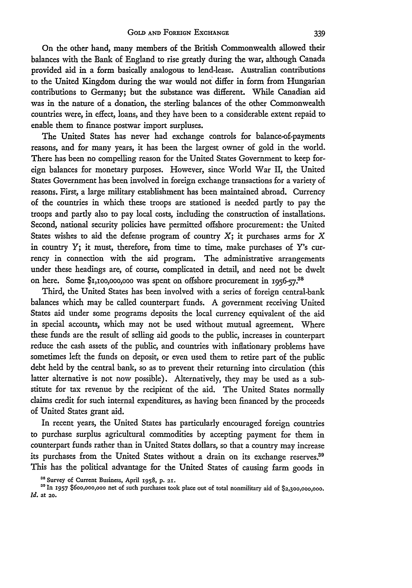On the other hand, many members of the British Commonwealth allowed their balances with the Bank of England to rise greatly during the war, although Canada provided aid in a form basically analogous to lend-lease. Australian contributions to the United Kingdom during the war would not differ in form from Hungarian contributions to Germany; but the substance was different. While Canadian aid was in the nature of a donation, the sterling balances of the other Commonwealth countries were, in effect, loans, and they have been to a considerable extent repaid to enable them to finance postwar import surpluses.

The United States has never had exchange controls for balance-of-payments reasons, and for many years, it has been the largest owner of gold in the world. There has been no compelling reason for the United States Government to keep foreign balances for monetary purposes. However, since World War II, the United States Government has been involved in foreign exchange transactions for a variety of reasons. First, a large military establishment has been maintained abroad. Currency of the countries in which these troops are stationed is needed partly to pay the troops and partly also to pay local costs, including the construction of installations. Second, national security policies have permitted offshore procurement: the United States wishes to aid the defense program of country X; it purchases arms for *X* in country Y; it must, therefore, from time to time, make purchases of Y's currency in connection with the aid program. The administrative arrangements under these headings are, of course, complicated in detail, and need not be dwelt on here. Some \$1,100,000,000 was spent on offshore procurement in 1956-57.<sup>38</sup>

Third, the United States has been involved with a series of foreign central-bank balances which may be called counterpart funds. A government receiving United States aid under some programs deposits the local currency equivalent of the aid in special accounts, which may not be used without mutual agreement. Where these funds are the result of selling aid goods to the public, increases in counterpart reduce the cash assets of the public, and countries with inflationary problems have sometimes left the funds on deposit, or even used them to retire part of the public debt held by the central bank, so as to prevent their returning into circulation (this latter alternative is not now possible). Alternatively, they may be used as a substitute for tax revenue by the recipient of the aid. The United States normally claims credit for such internal expenditures, as having been financed by the proceeds of United States grant aid.

In recent years, the United States has particularly encouraged foreign countries to purchase surplus agricultural commodities by accepting payment for them in counterpart funds rather than in United States dollars, so that a country may increase its purchases from the United States without a drain on its exchange reserves.39 This has the political advantage for the United States of causing farm goods in

**<sup>&#</sup>x27;s** Survey **of** Current Business, April **1958, P. 21.**

In 1957 \$6oo,ooo,ooo net of such purchases took place out of total nonmilitary aid **of \$2,300,ooo,ooo.** *Id.* at **2o.**